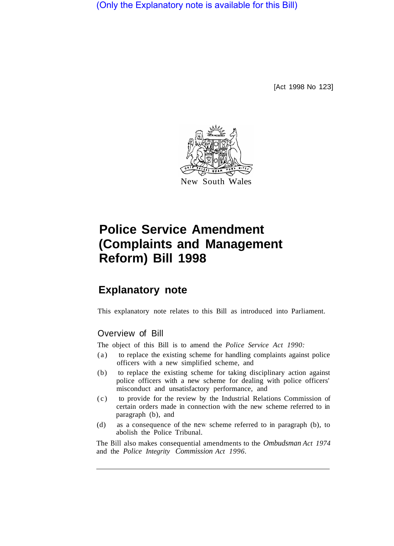(Only the Explanatory note is available for this Bill)

[Act 1998 No 123]



# **Police Service Amendment (Complaints and Management Reform) Bill 1998**

# **Explanatory note**

This explanatory note relates to this Bill as introduced into Parliament.

## Overview of Bill

The object of this Bill is to amend the *Police Service Act 1990:* 

- (a) to replace the existing scheme for handling complaints against police officers with a new simplified scheme, and
- (b) to replace the existing scheme for taking disciplinary action against police officers with a new scheme for dealing with police officers' misconduct and unsatisfactory performance, and
- (c) to provide for the review by the Industrial Relations Commission of certain orders made in connection with the new scheme referred to in paragraph (b), and
- (d) as a consequence of the new scheme referred to in paragraph (b), to abolish the Police Tribunal.

The Bill also makes consequential amendments to the *Ombudsman Act 1974*  and the *Police Integrity Commission Act 1996.*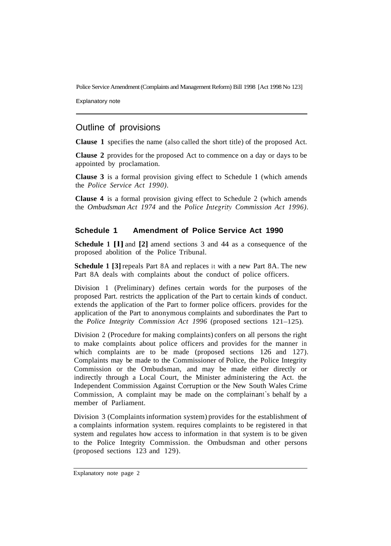Explanatory note

# Outline of provisions

**Clause 1** specifies the name (also called the short title) of the proposed Act.

**Clause 2** provides for the proposed Act to commence on a day or days to be appointed by proclamation.

**Clause 3** is a formal provision giving effect to Schedule **1** (which amends the *Police Service Act 1990).* 

**Clause 4** is a formal provision giving effect to Schedule 2 (which amends the *Ombudsman Act 1974* and the *Police Integrity Commission Act 1996).* 

### **Schedule 1 Amendment of Police Service Act 1990**

**Schedule 1 [l]** and **[2]** amend sections 3 and 44 as a consequence of the proposed abolition of the Police Tribunal.

**Schedule 1 [3]** repeals Part 8A and replaces it with a new Part 8A. The new Part 8A deals with complaints about the conduct of police officers.

Division 1 (Preliminary) defines certain words for the purposes of the proposed Part. restricts the application of the Part to certain kinds of conduct. extends the application of the Part to former police officers. provides for the application of the Part to anonymous complaints and subordinates the Part to the *Police Integrity Commission Act 1996* (proposed sections 121–125).

Division 2 (Procedure for making complaints) confers on all persons the right to make complaints about police officers and provides for the manner in which complaints are to be made (proposed sections 126 and 127). Complaints may be made to the Commissioner of Police, the Police Integrity Commission or the Ombudsman, and may be made either directly or indirectly through a Local Court, the Minister administering the Act. the Independent Commission Against Corruption or the New South Wales Crime Commission, A complaint may be made on the complainant's behalf by a member of Parliament.

Division 3 (Complaints information system) provides for the establishment of a complaints information system. requires complaints to be registered in that system and regulates how access to information in that system is to be given to the Police Integrity Commission. the Ombudsman and other persons (proposed sections 123 and 129).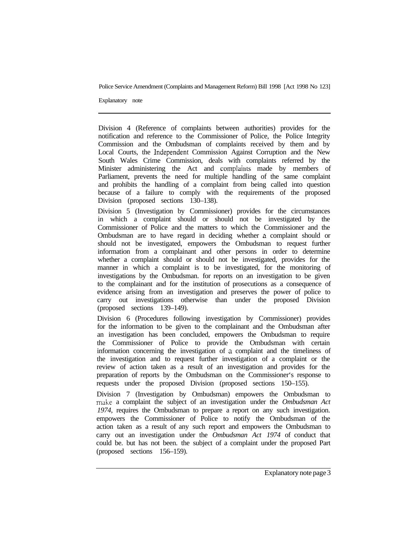Explanatory note

Division 4 (Reference of complaints between authorities) provides for the notification and reference to the Commissioner of Police, the Police Integrity Commission and the Ombudsman of complaints received by them and by Local Courts, the Independent Commission Against Corruption and the New South Wales Crime Commission, deals with complaints referred by the Minister administering the Act and complaints made by members of Parliament, prevents the need for multiple handling of the same complaint and prohibits the handling of a complaint from being called into question because of a failure to comply with the requirements of the proposed Division (proposed sections 130–138).

Division 5 (Investigation by Commissioner) provides for the circumstances in which a complaint should or should not be investigated by the Commissioner of Police and the matters to which the Commissioner and the Ombudsman are to have regard in deciding whether a complaint should or should not be investigated, empowers the Ombudsman to request further information from a complainant and other persons in order to determine whether a complaint should or should not be investigated, provides for the manner in which a complaint is to be investigated, for the monitoring of investigations by the Ombudsman. for reports on an investigation to be given to the complainant and for the institution of prosecutions as a consequence of evidence arising from an investigation and preserves the power of police to carry out investigations otherwise than under the proposed Division (proposed sections 139–149).

Division 6 (Procedures following investigation by Commissioner) provides for the information to be given to the complainant and the Ombudsman after an investigation has been concluded, empowers the Ombudsman to require the Commissioner of Police to provide the Ombudsman with certain information concerning the investigation of a complaint and the timeliness of the investigation and to request further investigation of a complaint or the review of action taken as a result of an investigation and provides for the preparation of reports by the Ombudsman on the Commissioner's response to requests under the proposed Division (proposed sections 150–155).

Division 7 (Investigation by Ombudsman) empowers the Ombudsman to make a complaint the subject of an investigation under the *Ombudsman Act 1974,* requires the Ombudsman to prepare a report on any such investigation. empowers the Commissioner of Police to notify the Ombudsman of the action taken as a result of any such report and empowers the Ombudsman to carry out an investigation under the *Ombudsman Act 1974* of conduct that could be. but has not been. the subject of a complaint under the proposed Part (proposed sections 156–159).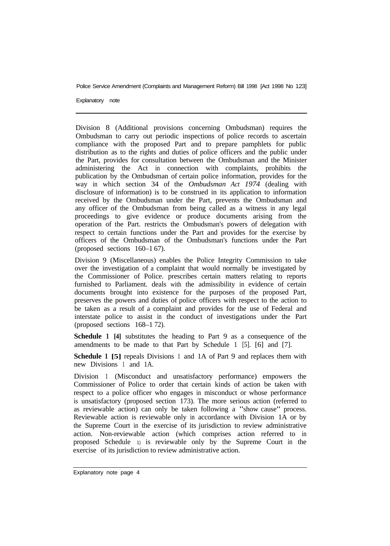Explanatory note

Division 8 (Additional provisions concerning Ombudsman) requires the Ombudsman to carry out periodic inspections of police records to ascertain compliance with the proposed Part and to prepare pamphlets for public distribution as to the rights and duties of police officers and the public under the Part, provides for consultation between the Ombudsman and the Minister administering the Act in connection with complaints, prohibits the publication by the Ombudsman of certain police information, provides for the way in which section 34 of the *Ombudsman Act 1974* (dealing with disclosure of information) is to be construed in its application to information received by the Ombudsman under the Part, prevents the Ombudsman and any officer of the Ombudsman from being called as a witness in any legal proceedings to give evidence or produce documents arising from the operation of the Part. restricts the Ombudsman's powers of delegation with respect to certain functions under the Part and provides for the exercise by officers of the Ombudsman of the Ombudsman's functions under the Part (proposed sections 160–1 67).

Division 9 (Miscellaneous) enables the Police Integrity Commission to take over the investigation of a complaint that would normally be investigated by the Commissioner of Police. prescribes certain matters relating to reports furnished to Parliament. deals with the admissibility in evidence of certain documents brought into existence for the purposes of the proposed Part, preserves the powers and duties of police officers with respect to the action to be taken as a result of a complaint and provides for the use of Federal and interstate police to assist in the conduct of investigations under the Part (proposed sections 168–1 72).

**Schedule 1 [4]** substitutes the heading to Part 9 as a consequence of the amendments to be made to that Part by Schedule 1 [5]. [6] and [7].

**Schedule 1 [5]** repeals Divisions 1 and 1A of Part 9 and replaces them with new Divisions 1 and 1A.

Division 1 (Misconduct and unsatisfactory performance) empowers the Commissioner of Police to order that certain kinds of action be taken with respect to a police officer who engages in misconduct or whose performance is unsatisfactory (proposed section 173). The more serious action (referred to as reviewable action) can only be taken following a "show cause" process. Reviewable action is reviewable only in accordance with Division 1A or by the Supreme Court in the exercise of its jurisdiction to review administrative action. Non-reviewable action (which comprises action referred to in proposed Schedule 1) is reviewable only by the Supreme Court in the exercise of its jurisdiction to review administrative action.

Explanatory note page 4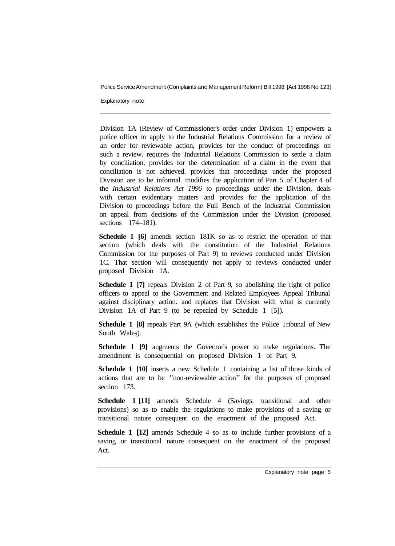Explanatory note

Division 1A (Review of Commissioner's order under Division 1) empowers a police officer to apply to the Industrial Relations Commission for a review of an order for reviewable action, provides for the conduct of proceedings on such a review. requires the Industrial Relations Commission to settle a claim by conciliation, provides for the determination of a claim in the event that conciliation is not achieved. provides that proceedings under the proposed Division are to be informal. modifies the application of Part 5 of Chapter 4 of the *Industrial Relations Act 1996* to proceedings under the Division, deals with certain evidentiary matters and provides for the application of the Division to proceedings before the Full Bench of the Industrial Commission on appeal from decisions of the Commission under the Division (proposed sections 174–181).

Schedule 1 [6] amends section  $181K$  so as to restrict the operation of that section (which deals with the constitution of the Industrial Relations Commission for the purposes of Part 9) to reviews conducted under Division 1C. That section will consequently not apply to reviews conducted under proposed Division 1A.

**Schedule 1 [7]** repeals Division 2 of Part 9, so abolishing the right of police officers to appeal to the Government and Related Employees Appeal Tribunal against disciplinary action. and replaces that Division with what is currently Division 1A of Part 9 (to be repealed by Schedule 1 [5]).

**Schedule 1 [8]** repeals Part 9A (which establishes the Police Tribunal of New South Wales).

**Schedule 1 [9]** augments the Governor's power to make regulations. The amendment is consequential on proposed Division 1 of Part 9.

**Schedule 1 [10]** inserts a new Schedule 1 containing a list of those kinds of actions that are to be "non-reviewable action" for the purposes of proposed section 173

**Schedule 1 [11]** amends Schedule 4 (Savings. transitional and other provisions) so as to enable the regulations to make provisions of a saving or transitional nature consequent on the enactment of the proposed Act.

**Schedule 1 [12]** amends Schedule 4 so as to include further provisions of a saving or transitional nature consequent on the enactment of the proposed Act.